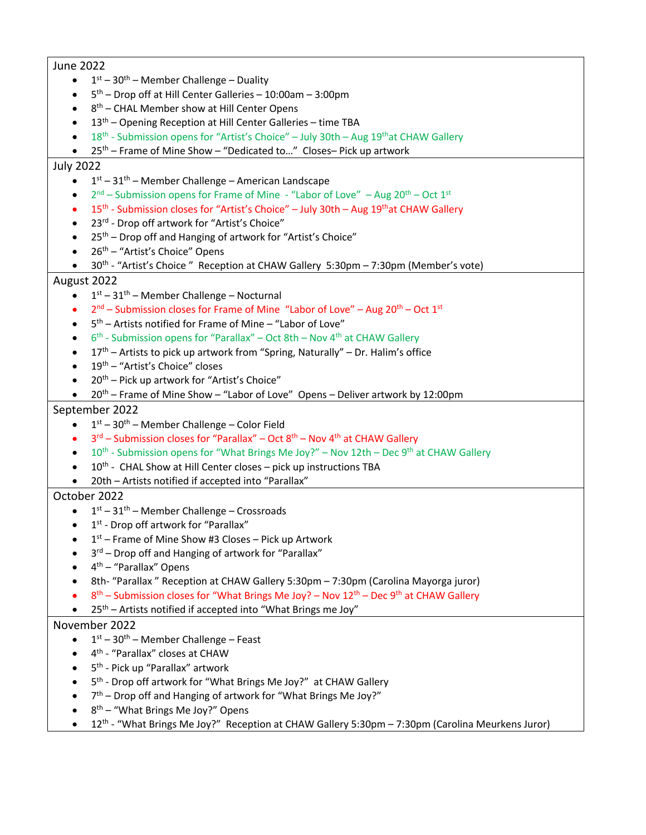## June 2022

- $\bullet$  1<sup>st</sup> 30<sup>th</sup> Member Challenge Duality
- $\bullet$  5<sup>th</sup> Drop off at Hill Center Galleries 10:00am 3:00pm
- $\bullet$  8<sup>th</sup> CHAL Member show at Hill Center Opens
- $\bullet$  13<sup>th</sup> Opening Reception at Hill Center Galleries time TBA
- $18<sup>th</sup>$  Submission opens for "Artist's Choice" July 30th Aug 19<sup>th</sup>at CHAW Gallery
- 25<sup>th</sup> Frame of Mine Show "Dedicated to..." Closes– Pick up artwork

#### July 2022

- $\bullet$  1<sup>st</sup> 31<sup>th</sup> Member Challenge American Landscape
- $2<sup>nd</sup>$  Submission opens for Frame of Mine "Labor of Love" Aug 20<sup>th</sup> Oct 1<sup>st</sup>
- $15<sup>th</sup>$  Submission closes for "Artist's Choice" July 30th Aug 19<sup>th</sup>at CHAW Gallery
- 23<sup>rd</sup> Drop off artwork for "Artist's Choice"
- 25<sup>th</sup> Drop off and Hanging of artwork for "Artist's Choice"
- 26<sup>th</sup> "Artist's Choice" Opens
- 30th "Artist's Choice " Reception at CHAW Gallery 5:30pm 7:30pm (Member's vote)

## August 2022

- $\bullet$  1st 31<sup>th</sup> Member Challenge Nocturnal
- $2<sup>nd</sup>$  Submission closes for Frame of Mine "Labor of Love" Aug 20<sup>th</sup> Oct 1<sup>st</sup>
- $5<sup>th</sup>$  Artists notified for Frame of Mine "Labor of Love"
- $6^{th}$  Submission opens for "Parallax" Oct 8th Nov 4<sup>th</sup> at CHAW Gallery
- 17<sup>th</sup> Artists to pick up artwork from "Spring, Naturally" Dr. Halim's office
- 19<sup>th</sup> "Artist's Choice" closes
- $20<sup>th</sup>$  Pick up artwork for "Artist's Choice"
- 20<sup>th</sup> Frame of Mine Show "Labor of Love" Opens Deliver artwork by 12:00pm

## September 2022

- $\bullet$   $1^{st}$  30<sup>th</sup> Member Challenge Color Field
- $3<sup>rd</sup>$  Submission closes for "Parallax" Oct  $8<sup>th</sup>$  Nov 4<sup>th</sup> at CHAW Gallery
- $10^{th}$  Submission opens for "What Brings Me Joy?" Nov 12th Dec 9<sup>th</sup> at CHAW Gallery
- $\bullet$  10<sup>th</sup> CHAL Show at Hill Center closes pick up instructions TBA
- 20th Artists notified if accepted into "Parallax"

## October 2022

- $\bullet$  1<sup>st</sup> 31<sup>th</sup> Member Challenge Crossroads
- $\bullet$  1<sup>st</sup> Drop off artwork for "Parallax"
- $\bullet$  1<sup>st</sup> Frame of Mine Show #3 Closes Pick up Artwork
- $\bullet$  3<sup>rd</sup> Drop off and Hanging of artwork for "Parallax"
- 4<sup>th</sup> "Parallax" Opens
- 8th- "Parallax " Reception at CHAW Gallery 5:30pm 7:30pm (Carolina Mayorga juror)
- $8<sup>th</sup>$  Submission closes for "What Brings Me Joy? Nov 12<sup>th</sup> Dec 9<sup>th</sup> at CHAW Gallery
- 25<sup>th</sup> Artists notified if accepted into "What Brings me Joy"

# November 2022

- $\bullet$  1<sup>st</sup> 30<sup>th</sup> Member Challenge Feast
- $\bullet$  4<sup>th</sup> "Parallax" closes at CHAW
- 5<sup>th</sup> Pick up "Parallax" artwork
- $\bullet$  5<sup>th</sup> Drop off artwork for "What Brings Me Joy?" at CHAW Gallery
- $\bullet$   $7<sup>th</sup>$  Drop off and Hanging of artwork for "What Brings Me Joy?"
- $\bullet$  8<sup>th</sup> "What Brings Me Joy?" Opens
- 12<sup>th</sup> "What Brings Me Joy?" Reception at CHAW Gallery 5:30pm 7:30pm (Carolina Meurkens Juror)